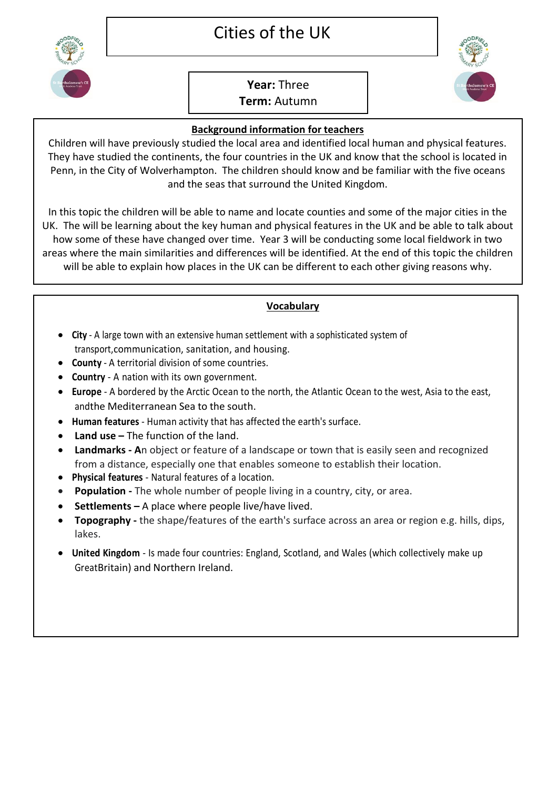## Cities of the UK



## **Year:** Three **Term:** Autumn



## **Background information for teachers**

Children will have previously studied the local area and identified local human and physical features. They have studied the continents, the four countries in the UK and know that the school is located in Penn, in the City of Wolverhampton. The children should know and be familiar with the five oceans and the seas that surround the United Kingdom.

In this topic the children will be able to name and locate counties and some of the major cities in the UK. The will be learning about the key human and physical features in the UK and be able to talk about how some of these have changed over time. Year 3 will be conducting some local fieldwork in two areas where the main similarities and differences will be identified. At the end of this topic the children will be able to explain how places in the UK can be different to each other giving reasons why.

## **Vocabulary**

- **City** A large town with an extensive human settlement with a sophisticated system of transport,communication, sanitation, and housing.
- **County** A territorial division of some countries.
- **Country** A nation with its own government.
- **Europe**  A bordered by the Arctic Ocean to the north, the Atlantic Ocean to the west, Asia to the east, andthe Mediterranean Sea to the south.
- **Human features** Human activity that has affected the earth's surface.
- **Land use –** The function of the land.
- **Landmarks - A**n object or feature of a landscape or town that is easily seen and recognized from a distance, especially one that enables someone to establish their location.
- **Physical features** Natural features of a location.
- **Population -** The whole number of people living in a country, city, or area.
- **Settlements –** A place where people live/have lived.
- **Topography -** the shape/features of the earth's surface across an area or region e.g. hills, dips, lakes.
- **United Kingdom** Is made four countries: England, Scotland, and Wales (which collectively make up GreatBritain) and Northern Ireland.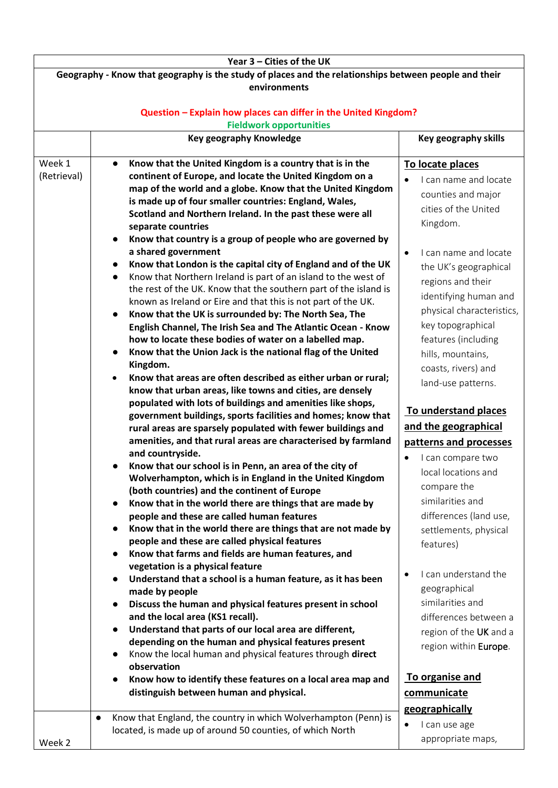| Geography - Know that geography is the study of places and the relationships between people and their<br>environments                                                                                                                                                                                                                                                                                                                                                                                                                                                                                                                                                                                                                                                                                                                                                                                                                                                                                                                                                                                                                                                                                                                                                                                                                                                                                                                                                                                                                                                                                                                                                                                   |                                                                                                                                                                                                                                                                                                                                                                                                                                                                                                               |  |
|---------------------------------------------------------------------------------------------------------------------------------------------------------------------------------------------------------------------------------------------------------------------------------------------------------------------------------------------------------------------------------------------------------------------------------------------------------------------------------------------------------------------------------------------------------------------------------------------------------------------------------------------------------------------------------------------------------------------------------------------------------------------------------------------------------------------------------------------------------------------------------------------------------------------------------------------------------------------------------------------------------------------------------------------------------------------------------------------------------------------------------------------------------------------------------------------------------------------------------------------------------------------------------------------------------------------------------------------------------------------------------------------------------------------------------------------------------------------------------------------------------------------------------------------------------------------------------------------------------------------------------------------------------------------------------------------------------|---------------------------------------------------------------------------------------------------------------------------------------------------------------------------------------------------------------------------------------------------------------------------------------------------------------------------------------------------------------------------------------------------------------------------------------------------------------------------------------------------------------|--|
|                                                                                                                                                                                                                                                                                                                                                                                                                                                                                                                                                                                                                                                                                                                                                                                                                                                                                                                                                                                                                                                                                                                                                                                                                                                                                                                                                                                                                                                                                                                                                                                                                                                                                                         |                                                                                                                                                                                                                                                                                                                                                                                                                                                                                                               |  |
| Question - Explain how places can differ in the United Kingdom?                                                                                                                                                                                                                                                                                                                                                                                                                                                                                                                                                                                                                                                                                                                                                                                                                                                                                                                                                                                                                                                                                                                                                                                                                                                                                                                                                                                                                                                                                                                                                                                                                                         |                                                                                                                                                                                                                                                                                                                                                                                                                                                                                                               |  |
| <b>Fieldwork opportunities</b>                                                                                                                                                                                                                                                                                                                                                                                                                                                                                                                                                                                                                                                                                                                                                                                                                                                                                                                                                                                                                                                                                                                                                                                                                                                                                                                                                                                                                                                                                                                                                                                                                                                                          |                                                                                                                                                                                                                                                                                                                                                                                                                                                                                                               |  |
| <b>Key geography Knowledge</b>                                                                                                                                                                                                                                                                                                                                                                                                                                                                                                                                                                                                                                                                                                                                                                                                                                                                                                                                                                                                                                                                                                                                                                                                                                                                                                                                                                                                                                                                                                                                                                                                                                                                          | Key geography skills                                                                                                                                                                                                                                                                                                                                                                                                                                                                                          |  |
| Week 1<br>Know that the United Kingdom is a country that is in the<br>$\bullet$                                                                                                                                                                                                                                                                                                                                                                                                                                                                                                                                                                                                                                                                                                                                                                                                                                                                                                                                                                                                                                                                                                                                                                                                                                                                                                                                                                                                                                                                                                                                                                                                                         | To locate places                                                                                                                                                                                                                                                                                                                                                                                                                                                                                              |  |
| (Retrieval)<br>continent of Europe, and locate the United Kingdom on a<br>map of the world and a globe. Know that the United Kingdom<br>is made up of four smaller countries: England, Wales,<br>Scotland and Northern Ireland. In the past these were all<br>separate countries<br>Know that country is a group of people who are governed by<br>a shared government<br>$\bullet$<br>Know that London is the capital city of England and of the UK<br>$\bullet$<br>Know that Northern Ireland is part of an island to the west of<br>$\bullet$<br>the rest of the UK. Know that the southern part of the island is<br>known as Ireland or Eire and that this is not part of the UK.<br>Know that the UK is surrounded by: The North Sea, The<br>$\bullet$<br>English Channel, The Irish Sea and The Atlantic Ocean - Know<br>how to locate these bodies of water on a labelled map.<br>Know that the Union Jack is the national flag of the United<br>Kingdom.<br>Know that areas are often described as either urban or rural;<br>$\bullet$<br>know that urban areas, like towns and cities, are densely<br>populated with lots of buildings and amenities like shops,<br>government buildings, sports facilities and homes; know that<br>rural areas are sparsely populated with fewer buildings and<br>amenities, and that rural areas are characterised by farmland<br>and countryside.<br>Know that our school is in Penn, an area of the city of<br>$\bullet$<br>Wolverhampton, which is in England in the United Kingdom<br>(both countries) and the continent of Europe<br>Know that in the world there are things that are made by<br>$\bullet$<br>people and these are called human features | I can name and locate<br>counties and major<br>cities of the United<br>Kingdom.<br>I can name and locate<br>the UK's geographical<br>regions and their<br>identifying human and<br>physical characteristics,<br>key topographical<br>features (including<br>hills, mountains,<br>coasts, rivers) and<br>land-use patterns.<br>To understand places<br>and the geographical<br>patterns and processes<br>I can compare two<br>local locations and<br>compare the<br>similarities and<br>differences (land use, |  |
| Know that in the world there are things that are not made by<br>$\bullet$<br>people and these are called physical features<br>Know that farms and fields are human features, and<br>vegetation is a physical feature                                                                                                                                                                                                                                                                                                                                                                                                                                                                                                                                                                                                                                                                                                                                                                                                                                                                                                                                                                                                                                                                                                                                                                                                                                                                                                                                                                                                                                                                                    | settlements, physical<br>features)                                                                                                                                                                                                                                                                                                                                                                                                                                                                            |  |
| Understand that a school is a human feature, as it has been<br>$\bullet$<br>made by people<br>Discuss the human and physical features present in school<br>$\bullet$<br>and the local area (KS1 recall).<br>Understand that parts of our local area are different,<br>$\bullet$<br>depending on the human and physical features present<br>Know the local human and physical features through direct<br>$\bullet$<br>observation                                                                                                                                                                                                                                                                                                                                                                                                                                                                                                                                                                                                                                                                                                                                                                                                                                                                                                                                                                                                                                                                                                                                                                                                                                                                        | I can understand the<br>geographical<br>similarities and<br>differences between a<br>region of the UK and a<br>region within Europe.                                                                                                                                                                                                                                                                                                                                                                          |  |
| Know how to identify these features on a local area map and<br>distinguish between human and physical.                                                                                                                                                                                                                                                                                                                                                                                                                                                                                                                                                                                                                                                                                                                                                                                                                                                                                                                                                                                                                                                                                                                                                                                                                                                                                                                                                                                                                                                                                                                                                                                                  | To organise and<br>communicate                                                                                                                                                                                                                                                                                                                                                                                                                                                                                |  |
| Know that England, the country in which Wolverhampton (Penn) is<br>$\bullet$<br>٠<br>located, is made up of around 50 counties, of which North<br>Week 2                                                                                                                                                                                                                                                                                                                                                                                                                                                                                                                                                                                                                                                                                                                                                                                                                                                                                                                                                                                                                                                                                                                                                                                                                                                                                                                                                                                                                                                                                                                                                | geographically<br>I can use age<br>appropriate maps,                                                                                                                                                                                                                                                                                                                                                                                                                                                          |  |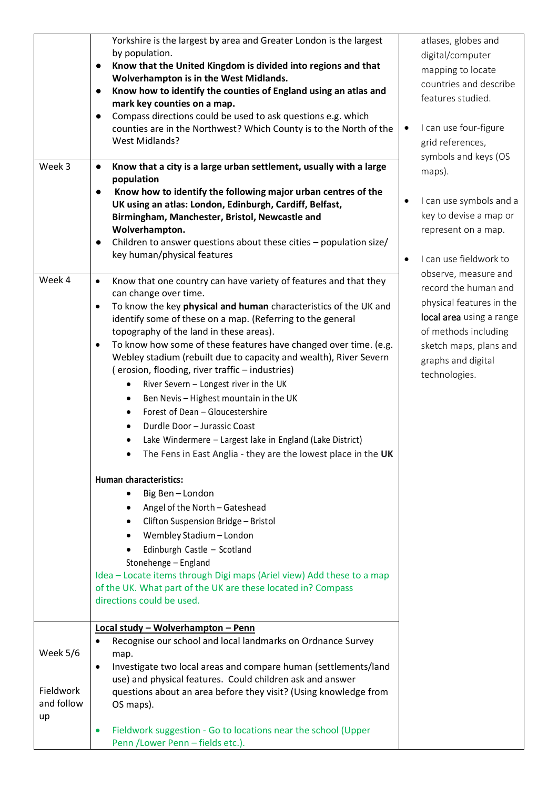| Yorkshire is the largest by area and Greater London is the largest<br>by population.<br>Know that the United Kingdom is divided into regions and that<br>Wolverhampton is in the West Midlands.<br>Know how to identify the counties of England using an atlas and<br>mark key counties on a map.<br>Compass directions could be used to ask questions e.g. which<br>$\bullet$<br>counties are in the Northwest? Which County is to the North of the<br><b>West Midlands?</b><br>Know that a city is a large urban settlement, usually with a large<br>$\bullet$<br>population<br>Know how to identify the following major urban centres of the<br>UK using an atlas: London, Edinburgh, Cardiff, Belfast,<br>Birmingham, Manchester, Bristol, Newcastle and<br>Wolverhampton.<br>Children to answer questions about these cities - population size/<br>key human/physical features<br>Know that one country can have variety of features and that they<br>$\bullet$<br>can change over time.<br>To know the key physical and human characteristics of the UK and<br>$\bullet$<br>identify some of these on a map. (Referring to the general<br>topography of the land in these areas).<br>To know how some of these features have changed over time. (e.g.<br>$\bullet$<br>Webley stadium (rebuilt due to capacity and wealth), River Severn<br>(erosion, flooding, river traffic - industries)<br>River Severn - Longest river in the UK<br>Ben Nevis - Highest mountain in the UK<br>Forest of Dean - Gloucestershire<br>٠<br>Durdle Door - Jurassic Coast<br>Lake Windermere - Largest lake in England (Lake District)<br>The Fens in East Anglia - they are the lowest place in the UK<br>Human characteristics:<br>Big Ben-London<br>Angel of the North - Gateshead<br>Clifton Suspension Bridge - Bristol<br>Wembley Stadium - London<br>Edinburgh Castle - Scotland<br>Stonehenge - England<br>Idea - Locate items through Digi maps (Ariel view) Add these to a map<br>of the UK. What part of the UK are these located in? Compass<br>directions could be used.<br>Local study - Wolverhampton - Penn<br>Recognise our school and local landmarks on Ordnance Survey<br>map.<br>Investigate two local areas and compare human (settlements/land |            |                                                           |
|-----------------------------------------------------------------------------------------------------------------------------------------------------------------------------------------------------------------------------------------------------------------------------------------------------------------------------------------------------------------------------------------------------------------------------------------------------------------------------------------------------------------------------------------------------------------------------------------------------------------------------------------------------------------------------------------------------------------------------------------------------------------------------------------------------------------------------------------------------------------------------------------------------------------------------------------------------------------------------------------------------------------------------------------------------------------------------------------------------------------------------------------------------------------------------------------------------------------------------------------------------------------------------------------------------------------------------------------------------------------------------------------------------------------------------------------------------------------------------------------------------------------------------------------------------------------------------------------------------------------------------------------------------------------------------------------------------------------------------------------------------------------------------------------------------------------------------------------------------------------------------------------------------------------------------------------------------------------------------------------------------------------------------------------------------------------------------------------------------------------------------------------------------------------------------------------------------------------------------------------------------------|------------|-----------------------------------------------------------|
|                                                                                                                                                                                                                                                                                                                                                                                                                                                                                                                                                                                                                                                                                                                                                                                                                                                                                                                                                                                                                                                                                                                                                                                                                                                                                                                                                                                                                                                                                                                                                                                                                                                                                                                                                                                                                                                                                                                                                                                                                                                                                                                                                                                                                                                           |            |                                                           |
|                                                                                                                                                                                                                                                                                                                                                                                                                                                                                                                                                                                                                                                                                                                                                                                                                                                                                                                                                                                                                                                                                                                                                                                                                                                                                                                                                                                                                                                                                                                                                                                                                                                                                                                                                                                                                                                                                                                                                                                                                                                                                                                                                                                                                                                           |            |                                                           |
|                                                                                                                                                                                                                                                                                                                                                                                                                                                                                                                                                                                                                                                                                                                                                                                                                                                                                                                                                                                                                                                                                                                                                                                                                                                                                                                                                                                                                                                                                                                                                                                                                                                                                                                                                                                                                                                                                                                                                                                                                                                                                                                                                                                                                                                           |            |                                                           |
|                                                                                                                                                                                                                                                                                                                                                                                                                                                                                                                                                                                                                                                                                                                                                                                                                                                                                                                                                                                                                                                                                                                                                                                                                                                                                                                                                                                                                                                                                                                                                                                                                                                                                                                                                                                                                                                                                                                                                                                                                                                                                                                                                                                                                                                           |            |                                                           |
|                                                                                                                                                                                                                                                                                                                                                                                                                                                                                                                                                                                                                                                                                                                                                                                                                                                                                                                                                                                                                                                                                                                                                                                                                                                                                                                                                                                                                                                                                                                                                                                                                                                                                                                                                                                                                                                                                                                                                                                                                                                                                                                                                                                                                                                           |            |                                                           |
|                                                                                                                                                                                                                                                                                                                                                                                                                                                                                                                                                                                                                                                                                                                                                                                                                                                                                                                                                                                                                                                                                                                                                                                                                                                                                                                                                                                                                                                                                                                                                                                                                                                                                                                                                                                                                                                                                                                                                                                                                                                                                                                                                                                                                                                           |            |                                                           |
|                                                                                                                                                                                                                                                                                                                                                                                                                                                                                                                                                                                                                                                                                                                                                                                                                                                                                                                                                                                                                                                                                                                                                                                                                                                                                                                                                                                                                                                                                                                                                                                                                                                                                                                                                                                                                                                                                                                                                                                                                                                                                                                                                                                                                                                           |            |                                                           |
|                                                                                                                                                                                                                                                                                                                                                                                                                                                                                                                                                                                                                                                                                                                                                                                                                                                                                                                                                                                                                                                                                                                                                                                                                                                                                                                                                                                                                                                                                                                                                                                                                                                                                                                                                                                                                                                                                                                                                                                                                                                                                                                                                                                                                                                           |            |                                                           |
|                                                                                                                                                                                                                                                                                                                                                                                                                                                                                                                                                                                                                                                                                                                                                                                                                                                                                                                                                                                                                                                                                                                                                                                                                                                                                                                                                                                                                                                                                                                                                                                                                                                                                                                                                                                                                                                                                                                                                                                                                                                                                                                                                                                                                                                           | Week 3     |                                                           |
|                                                                                                                                                                                                                                                                                                                                                                                                                                                                                                                                                                                                                                                                                                                                                                                                                                                                                                                                                                                                                                                                                                                                                                                                                                                                                                                                                                                                                                                                                                                                                                                                                                                                                                                                                                                                                                                                                                                                                                                                                                                                                                                                                                                                                                                           |            |                                                           |
|                                                                                                                                                                                                                                                                                                                                                                                                                                                                                                                                                                                                                                                                                                                                                                                                                                                                                                                                                                                                                                                                                                                                                                                                                                                                                                                                                                                                                                                                                                                                                                                                                                                                                                                                                                                                                                                                                                                                                                                                                                                                                                                                                                                                                                                           |            |                                                           |
|                                                                                                                                                                                                                                                                                                                                                                                                                                                                                                                                                                                                                                                                                                                                                                                                                                                                                                                                                                                                                                                                                                                                                                                                                                                                                                                                                                                                                                                                                                                                                                                                                                                                                                                                                                                                                                                                                                                                                                                                                                                                                                                                                                                                                                                           |            |                                                           |
|                                                                                                                                                                                                                                                                                                                                                                                                                                                                                                                                                                                                                                                                                                                                                                                                                                                                                                                                                                                                                                                                                                                                                                                                                                                                                                                                                                                                                                                                                                                                                                                                                                                                                                                                                                                                                                                                                                                                                                                                                                                                                                                                                                                                                                                           |            |                                                           |
|                                                                                                                                                                                                                                                                                                                                                                                                                                                                                                                                                                                                                                                                                                                                                                                                                                                                                                                                                                                                                                                                                                                                                                                                                                                                                                                                                                                                                                                                                                                                                                                                                                                                                                                                                                                                                                                                                                                                                                                                                                                                                                                                                                                                                                                           |            |                                                           |
|                                                                                                                                                                                                                                                                                                                                                                                                                                                                                                                                                                                                                                                                                                                                                                                                                                                                                                                                                                                                                                                                                                                                                                                                                                                                                                                                                                                                                                                                                                                                                                                                                                                                                                                                                                                                                                                                                                                                                                                                                                                                                                                                                                                                                                                           |            |                                                           |
|                                                                                                                                                                                                                                                                                                                                                                                                                                                                                                                                                                                                                                                                                                                                                                                                                                                                                                                                                                                                                                                                                                                                                                                                                                                                                                                                                                                                                                                                                                                                                                                                                                                                                                                                                                                                                                                                                                                                                                                                                                                                                                                                                                                                                                                           | Week 4     |                                                           |
|                                                                                                                                                                                                                                                                                                                                                                                                                                                                                                                                                                                                                                                                                                                                                                                                                                                                                                                                                                                                                                                                                                                                                                                                                                                                                                                                                                                                                                                                                                                                                                                                                                                                                                                                                                                                                                                                                                                                                                                                                                                                                                                                                                                                                                                           |            |                                                           |
|                                                                                                                                                                                                                                                                                                                                                                                                                                                                                                                                                                                                                                                                                                                                                                                                                                                                                                                                                                                                                                                                                                                                                                                                                                                                                                                                                                                                                                                                                                                                                                                                                                                                                                                                                                                                                                                                                                                                                                                                                                                                                                                                                                                                                                                           |            |                                                           |
|                                                                                                                                                                                                                                                                                                                                                                                                                                                                                                                                                                                                                                                                                                                                                                                                                                                                                                                                                                                                                                                                                                                                                                                                                                                                                                                                                                                                                                                                                                                                                                                                                                                                                                                                                                                                                                                                                                                                                                                                                                                                                                                                                                                                                                                           |            |                                                           |
|                                                                                                                                                                                                                                                                                                                                                                                                                                                                                                                                                                                                                                                                                                                                                                                                                                                                                                                                                                                                                                                                                                                                                                                                                                                                                                                                                                                                                                                                                                                                                                                                                                                                                                                                                                                                                                                                                                                                                                                                                                                                                                                                                                                                                                                           |            |                                                           |
|                                                                                                                                                                                                                                                                                                                                                                                                                                                                                                                                                                                                                                                                                                                                                                                                                                                                                                                                                                                                                                                                                                                                                                                                                                                                                                                                                                                                                                                                                                                                                                                                                                                                                                                                                                                                                                                                                                                                                                                                                                                                                                                                                                                                                                                           |            |                                                           |
|                                                                                                                                                                                                                                                                                                                                                                                                                                                                                                                                                                                                                                                                                                                                                                                                                                                                                                                                                                                                                                                                                                                                                                                                                                                                                                                                                                                                                                                                                                                                                                                                                                                                                                                                                                                                                                                                                                                                                                                                                                                                                                                                                                                                                                                           |            |                                                           |
|                                                                                                                                                                                                                                                                                                                                                                                                                                                                                                                                                                                                                                                                                                                                                                                                                                                                                                                                                                                                                                                                                                                                                                                                                                                                                                                                                                                                                                                                                                                                                                                                                                                                                                                                                                                                                                                                                                                                                                                                                                                                                                                                                                                                                                                           |            |                                                           |
|                                                                                                                                                                                                                                                                                                                                                                                                                                                                                                                                                                                                                                                                                                                                                                                                                                                                                                                                                                                                                                                                                                                                                                                                                                                                                                                                                                                                                                                                                                                                                                                                                                                                                                                                                                                                                                                                                                                                                                                                                                                                                                                                                                                                                                                           |            |                                                           |
|                                                                                                                                                                                                                                                                                                                                                                                                                                                                                                                                                                                                                                                                                                                                                                                                                                                                                                                                                                                                                                                                                                                                                                                                                                                                                                                                                                                                                                                                                                                                                                                                                                                                                                                                                                                                                                                                                                                                                                                                                                                                                                                                                                                                                                                           |            |                                                           |
|                                                                                                                                                                                                                                                                                                                                                                                                                                                                                                                                                                                                                                                                                                                                                                                                                                                                                                                                                                                                                                                                                                                                                                                                                                                                                                                                                                                                                                                                                                                                                                                                                                                                                                                                                                                                                                                                                                                                                                                                                                                                                                                                                                                                                                                           |            |                                                           |
|                                                                                                                                                                                                                                                                                                                                                                                                                                                                                                                                                                                                                                                                                                                                                                                                                                                                                                                                                                                                                                                                                                                                                                                                                                                                                                                                                                                                                                                                                                                                                                                                                                                                                                                                                                                                                                                                                                                                                                                                                                                                                                                                                                                                                                                           |            |                                                           |
|                                                                                                                                                                                                                                                                                                                                                                                                                                                                                                                                                                                                                                                                                                                                                                                                                                                                                                                                                                                                                                                                                                                                                                                                                                                                                                                                                                                                                                                                                                                                                                                                                                                                                                                                                                                                                                                                                                                                                                                                                                                                                                                                                                                                                                                           |            |                                                           |
|                                                                                                                                                                                                                                                                                                                                                                                                                                                                                                                                                                                                                                                                                                                                                                                                                                                                                                                                                                                                                                                                                                                                                                                                                                                                                                                                                                                                                                                                                                                                                                                                                                                                                                                                                                                                                                                                                                                                                                                                                                                                                                                                                                                                                                                           |            |                                                           |
|                                                                                                                                                                                                                                                                                                                                                                                                                                                                                                                                                                                                                                                                                                                                                                                                                                                                                                                                                                                                                                                                                                                                                                                                                                                                                                                                                                                                                                                                                                                                                                                                                                                                                                                                                                                                                                                                                                                                                                                                                                                                                                                                                                                                                                                           |            |                                                           |
|                                                                                                                                                                                                                                                                                                                                                                                                                                                                                                                                                                                                                                                                                                                                                                                                                                                                                                                                                                                                                                                                                                                                                                                                                                                                                                                                                                                                                                                                                                                                                                                                                                                                                                                                                                                                                                                                                                                                                                                                                                                                                                                                                                                                                                                           |            |                                                           |
|                                                                                                                                                                                                                                                                                                                                                                                                                                                                                                                                                                                                                                                                                                                                                                                                                                                                                                                                                                                                                                                                                                                                                                                                                                                                                                                                                                                                                                                                                                                                                                                                                                                                                                                                                                                                                                                                                                                                                                                                                                                                                                                                                                                                                                                           |            |                                                           |
|                                                                                                                                                                                                                                                                                                                                                                                                                                                                                                                                                                                                                                                                                                                                                                                                                                                                                                                                                                                                                                                                                                                                                                                                                                                                                                                                                                                                                                                                                                                                                                                                                                                                                                                                                                                                                                                                                                                                                                                                                                                                                                                                                                                                                                                           |            |                                                           |
|                                                                                                                                                                                                                                                                                                                                                                                                                                                                                                                                                                                                                                                                                                                                                                                                                                                                                                                                                                                                                                                                                                                                                                                                                                                                                                                                                                                                                                                                                                                                                                                                                                                                                                                                                                                                                                                                                                                                                                                                                                                                                                                                                                                                                                                           |            |                                                           |
|                                                                                                                                                                                                                                                                                                                                                                                                                                                                                                                                                                                                                                                                                                                                                                                                                                                                                                                                                                                                                                                                                                                                                                                                                                                                                                                                                                                                                                                                                                                                                                                                                                                                                                                                                                                                                                                                                                                                                                                                                                                                                                                                                                                                                                                           |            |                                                           |
|                                                                                                                                                                                                                                                                                                                                                                                                                                                                                                                                                                                                                                                                                                                                                                                                                                                                                                                                                                                                                                                                                                                                                                                                                                                                                                                                                                                                                                                                                                                                                                                                                                                                                                                                                                                                                                                                                                                                                                                                                                                                                                                                                                                                                                                           |            |                                                           |
|                                                                                                                                                                                                                                                                                                                                                                                                                                                                                                                                                                                                                                                                                                                                                                                                                                                                                                                                                                                                                                                                                                                                                                                                                                                                                                                                                                                                                                                                                                                                                                                                                                                                                                                                                                                                                                                                                                                                                                                                                                                                                                                                                                                                                                                           |            |                                                           |
|                                                                                                                                                                                                                                                                                                                                                                                                                                                                                                                                                                                                                                                                                                                                                                                                                                                                                                                                                                                                                                                                                                                                                                                                                                                                                                                                                                                                                                                                                                                                                                                                                                                                                                                                                                                                                                                                                                                                                                                                                                                                                                                                                                                                                                                           |            |                                                           |
|                                                                                                                                                                                                                                                                                                                                                                                                                                                                                                                                                                                                                                                                                                                                                                                                                                                                                                                                                                                                                                                                                                                                                                                                                                                                                                                                                                                                                                                                                                                                                                                                                                                                                                                                                                                                                                                                                                                                                                                                                                                                                                                                                                                                                                                           |            |                                                           |
|                                                                                                                                                                                                                                                                                                                                                                                                                                                                                                                                                                                                                                                                                                                                                                                                                                                                                                                                                                                                                                                                                                                                                                                                                                                                                                                                                                                                                                                                                                                                                                                                                                                                                                                                                                                                                                                                                                                                                                                                                                                                                                                                                                                                                                                           |            |                                                           |
|                                                                                                                                                                                                                                                                                                                                                                                                                                                                                                                                                                                                                                                                                                                                                                                                                                                                                                                                                                                                                                                                                                                                                                                                                                                                                                                                                                                                                                                                                                                                                                                                                                                                                                                                                                                                                                                                                                                                                                                                                                                                                                                                                                                                                                                           | Week 5/6   |                                                           |
|                                                                                                                                                                                                                                                                                                                                                                                                                                                                                                                                                                                                                                                                                                                                                                                                                                                                                                                                                                                                                                                                                                                                                                                                                                                                                                                                                                                                                                                                                                                                                                                                                                                                                                                                                                                                                                                                                                                                                                                                                                                                                                                                                                                                                                                           |            |                                                           |
|                                                                                                                                                                                                                                                                                                                                                                                                                                                                                                                                                                                                                                                                                                                                                                                                                                                                                                                                                                                                                                                                                                                                                                                                                                                                                                                                                                                                                                                                                                                                                                                                                                                                                                                                                                                                                                                                                                                                                                                                                                                                                                                                                                                                                                                           | Fieldwork  | use) and physical features. Could children ask and answer |
| questions about an area before they visit? (Using knowledge from                                                                                                                                                                                                                                                                                                                                                                                                                                                                                                                                                                                                                                                                                                                                                                                                                                                                                                                                                                                                                                                                                                                                                                                                                                                                                                                                                                                                                                                                                                                                                                                                                                                                                                                                                                                                                                                                                                                                                                                                                                                                                                                                                                                          | and follow |                                                           |
| OS maps).                                                                                                                                                                                                                                                                                                                                                                                                                                                                                                                                                                                                                                                                                                                                                                                                                                                                                                                                                                                                                                                                                                                                                                                                                                                                                                                                                                                                                                                                                                                                                                                                                                                                                                                                                                                                                                                                                                                                                                                                                                                                                                                                                                                                                                                 | up         |                                                           |
| Fieldwork suggestion - Go to locations near the school (Upper<br>$\bullet$                                                                                                                                                                                                                                                                                                                                                                                                                                                                                                                                                                                                                                                                                                                                                                                                                                                                                                                                                                                                                                                                                                                                                                                                                                                                                                                                                                                                                                                                                                                                                                                                                                                                                                                                                                                                                                                                                                                                                                                                                                                                                                                                                                                |            |                                                           |
| Penn / Lower Penn - fields etc.).                                                                                                                                                                                                                                                                                                                                                                                                                                                                                                                                                                                                                                                                                                                                                                                                                                                                                                                                                                                                                                                                                                                                                                                                                                                                                                                                                                                                                                                                                                                                                                                                                                                                                                                                                                                                                                                                                                                                                                                                                                                                                                                                                                                                                         |            |                                                           |

atlases, globes and digital/computer mapping to locate countries and describe features studied.

- can use four-figure grid references, symbols and keys (OS maps).
- can use symbols and a key to devise a map or represent on a map.
- can use fieldwork to observe, measure and record the human and physical features in the ocal area using a range of methods including sketch maps, plans and graphs and digital technologies.